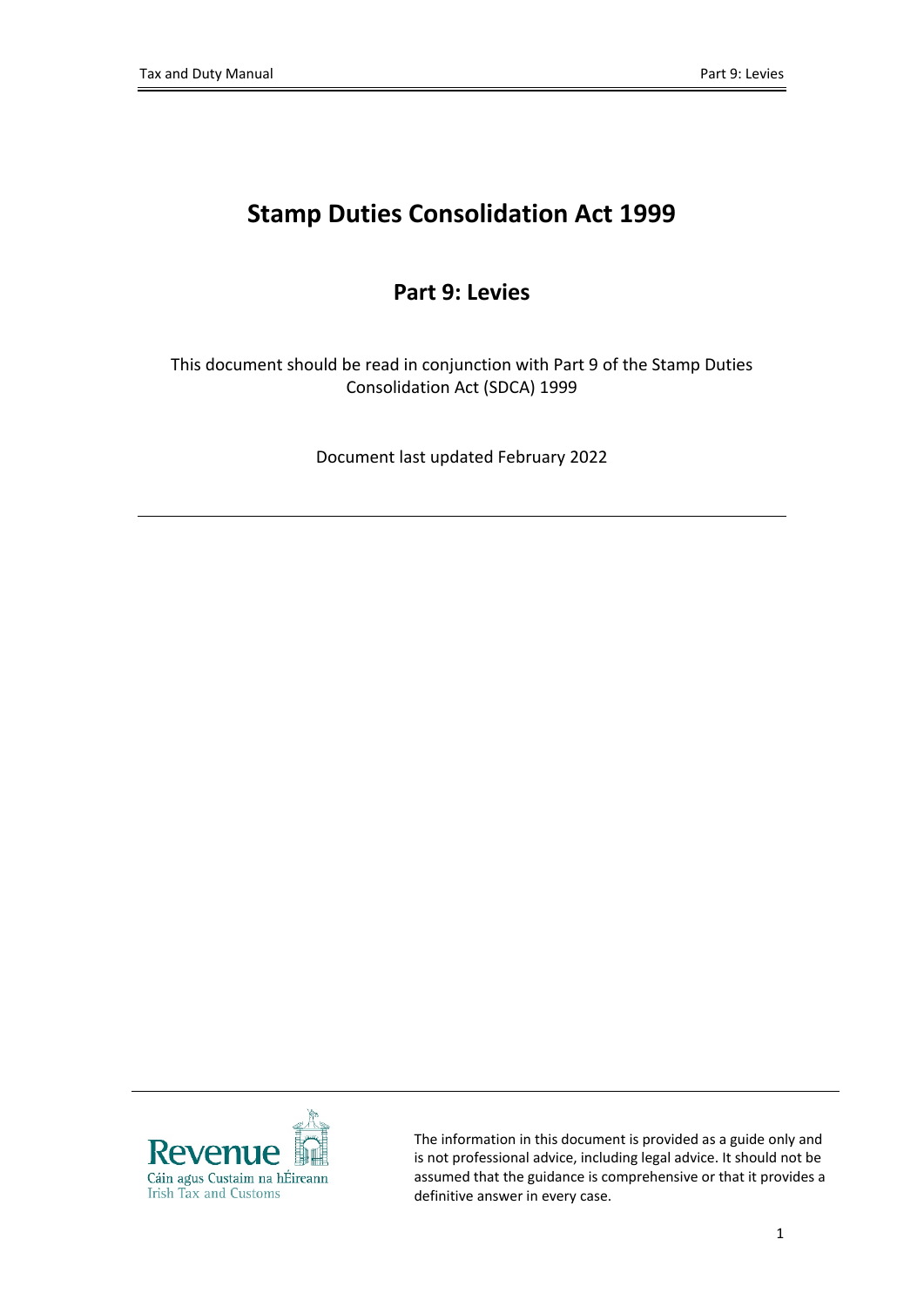# **Stamp Duties Consolidation Act 1999**

#### **Part 9: Levies**

This document should be read in conjunction with Part 9 of the Stamp Duties Consolidation Act (SDCA) 1999

Document last updated February 2022



The information in this document is provided as a guide only and is not professional advice, including legal advice. It should not be assumed that the guidance is comprehensive or that it provides a definitive answer in every case.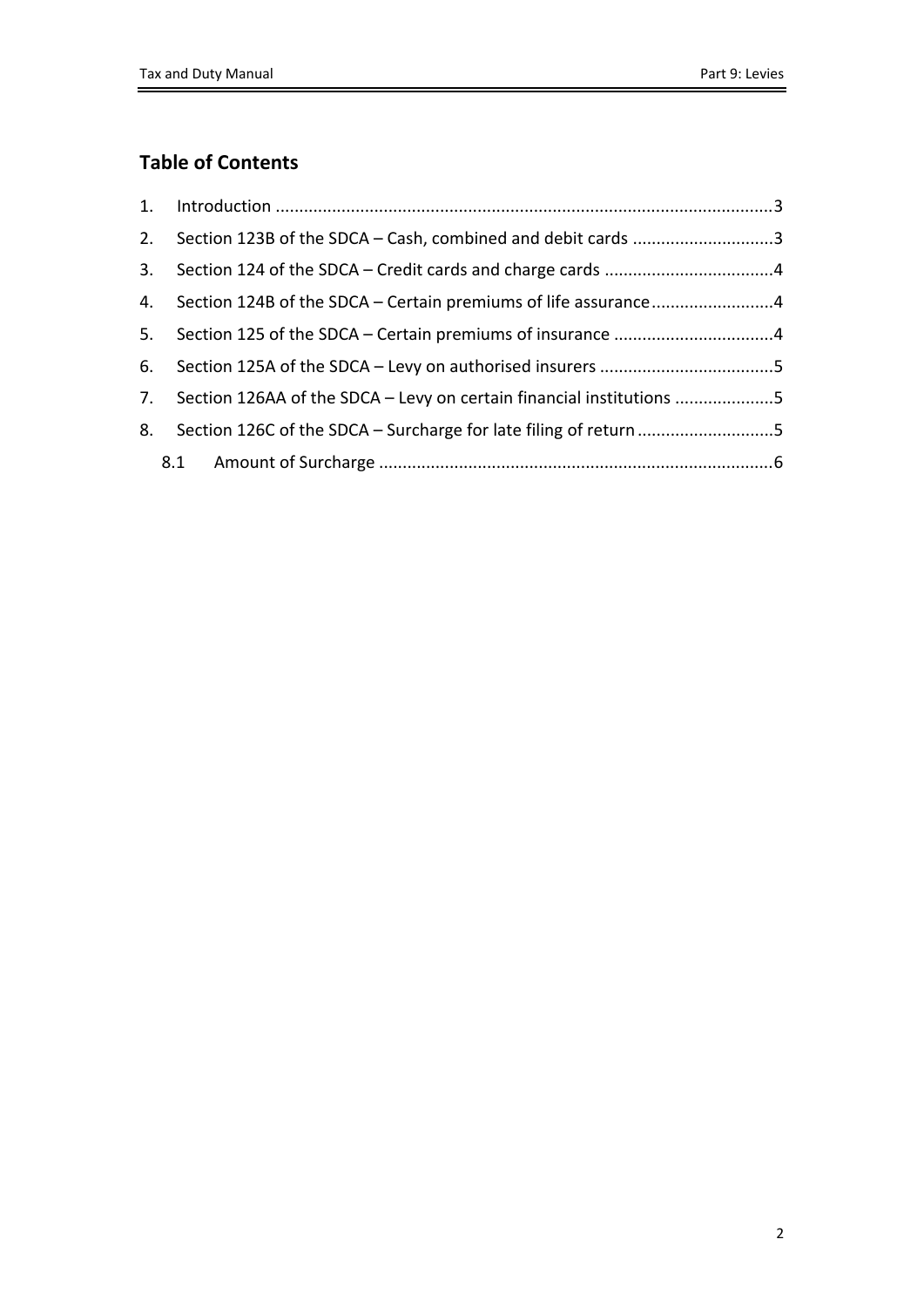#### **Table of Contents**

|    | 2. Section 123B of the SDCA - Cash, combined and debit cards 3          |  |
|----|-------------------------------------------------------------------------|--|
|    |                                                                         |  |
|    | 4. Section 124B of the SDCA – Certain premiums of life assurance4       |  |
|    |                                                                         |  |
| 6. |                                                                         |  |
|    | 7. Section 126AA of the SDCA - Levy on certain financial institutions 5 |  |
| 8. | Section 126C of the SDCA - Surcharge for late filing of return 5        |  |
|    |                                                                         |  |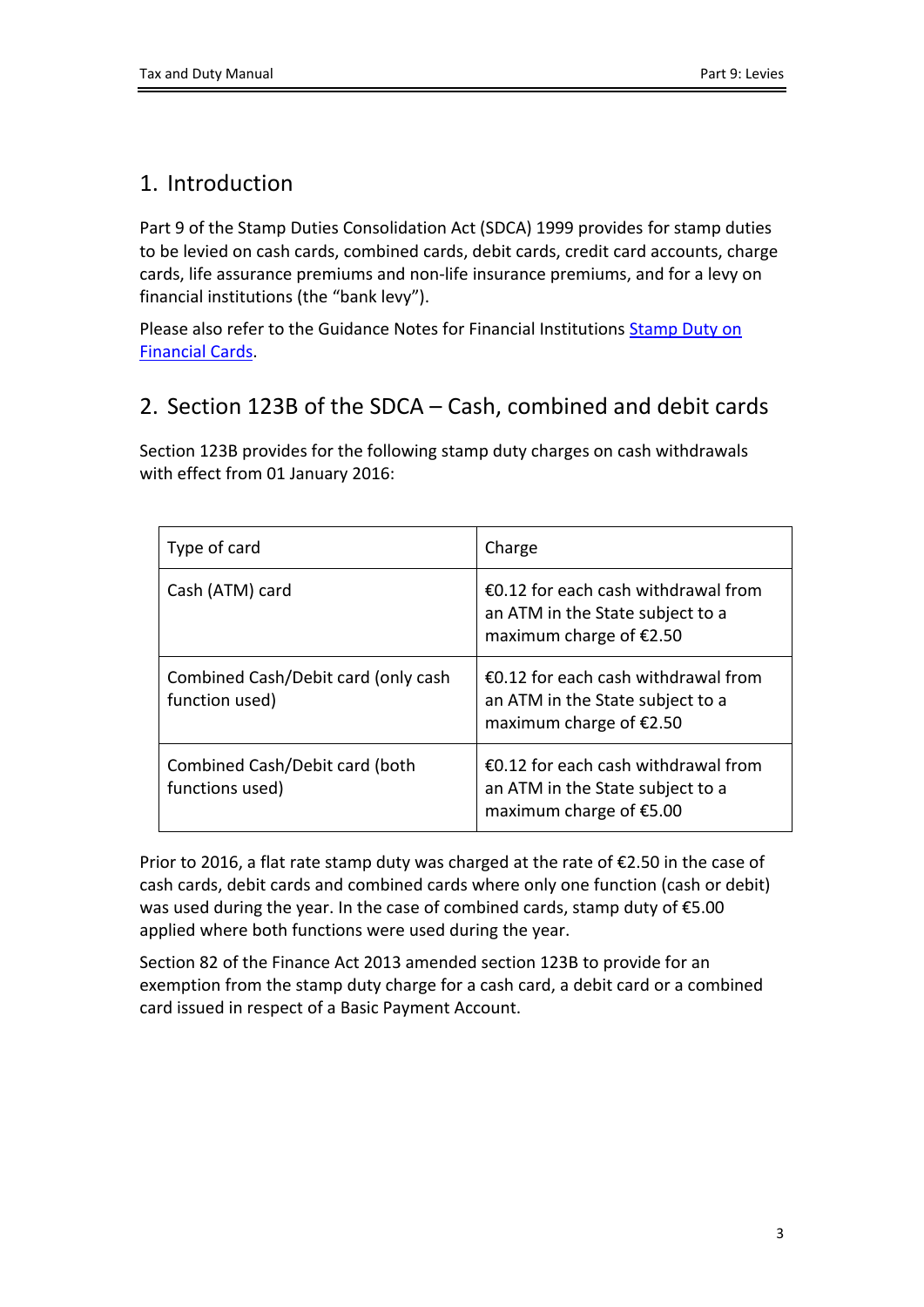### <span id="page-2-0"></span>1. Introduction

Part 9 of the Stamp Duties Consolidation Act (SDCA) 1999 provides for stamp duties to be levied on cash cards, combined cards, debit cards, credit card accounts, charge cards, life assurance premiums and non-life insurance premiums, and for a levy on financial institutions (the "bank levy").

Please also refer to the Guidance Notes for Financial Instituti[on](https://www.revenue.ie/en/tax-professionals/documents/notes-for-guidance/financial-institutions/stamp-duty-financial-cards.pdf)s **[Stamp](https://www.revenue.ie/en/tax-professionals/documents/notes-for-guidance/financial-institutions/stamp-duty-financial-cards.pdf) [Duty](https://www.revenue.ie/en/tax-professionals/documents/notes-for-guidance/financial-institutions/stamp-duty-financial-cards.pdf) on** [Financial](https://www.revenue.ie/en/tax-professionals/documents/notes-for-guidance/financial-institutions/stamp-duty-financial-cards.pdf) [Cards.](https://www.revenue.ie/en/tax-professionals/documents/notes-for-guidance/financial-institutions/stamp-duty-financial-cards.pdf)

### <span id="page-2-1"></span>2. Section 123B of the SDCA – Cash, combined and debit cards

Section 123B provides for the following stamp duty charges on cash withdrawals with effect from 01 January 2016:

| Type of card                                          | Charge                                                                                               |
|-------------------------------------------------------|------------------------------------------------------------------------------------------------------|
| Cash (ATM) card                                       | €0.12 for each cash withdrawal from<br>an ATM in the State subject to a<br>maximum charge of €2.50   |
| Combined Cash/Debit card (only cash<br>function used) | €0.12 for each cash withdrawal from<br>an ATM in the State subject to a<br>maximum charge of $£2.50$ |
| Combined Cash/Debit card (both<br>functions used)     | €0.12 for each cash withdrawal from<br>an ATM in the State subject to a<br>maximum charge of €5.00   |

Prior to 2016, a flat rate stamp duty was charged at the rate of  $\epsilon$ 2.50 in the case of cash cards, debit cards and combined cards where only one function (cash or debit) was used during the year. In the case of combined cards, stamp duty of €5.00 applied where both functions were used during the year.

Section 82 of the Finance Act 2013 amended section 123B to provide for an exemption from the stamp duty charge for a cash card, a debit card or a combined card issued in respect of a Basic Payment Account.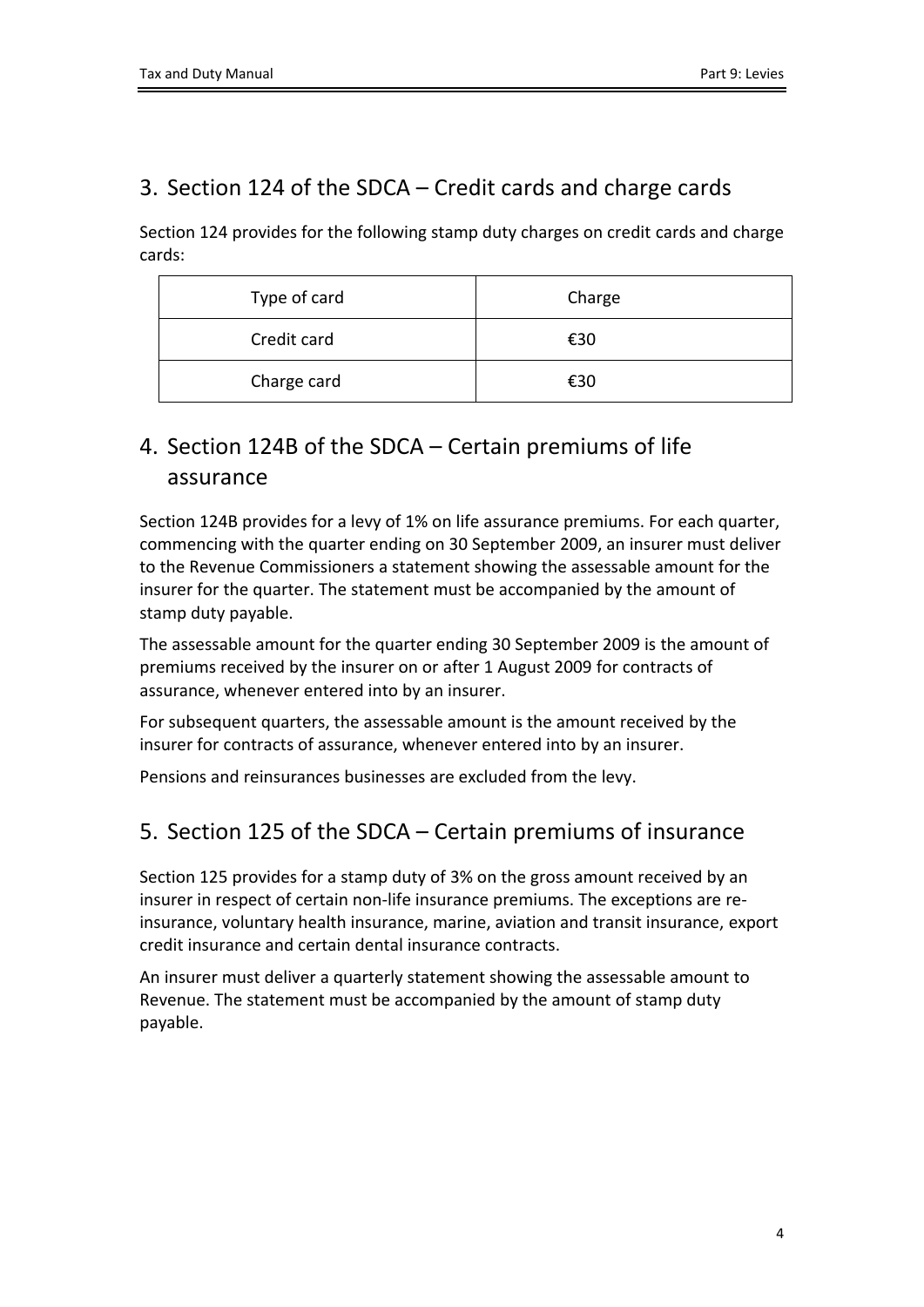### <span id="page-3-0"></span>3. Section 124 of the SDCA – Credit cards and charge cards

Section 124 provides for the following stamp duty charges on credit cards and charge cards:

| Type of card | Charge |
|--------------|--------|
| Credit card  | €30    |
| Charge card  | €30    |

## <span id="page-3-1"></span>4. Section 124B of the SDCA – Certain premiums of life assurance

Section 124B provides for a levy of 1% on life assurance premiums. For each quarter, commencing with the quarter ending on 30 September 2009, an insurer must deliver to the Revenue Commissioners a statement showing the assessable amount for the insurer for the quarter. The statement must be accompanied by the amount of stamp duty payable.

The assessable amount for the quarter ending 30 September 2009 is the amount of premiums received by the insurer on or after 1 August 2009 for contracts of assurance, whenever entered into by an insurer.

For subsequent quarters, the assessable amount is the amount received by the insurer for contracts of assurance, whenever entered into by an insurer.

Pensions and reinsurances businesses are excluded from the levy.

### <span id="page-3-2"></span>5. Section 125 of the SDCA – Certain premiums of insurance

Section 125 provides for a stamp duty of 3% on the gross amount received by an insurer in respect of certain non-life insurance premiums. The exceptions are reinsurance, voluntary health insurance, marine, aviation and transit insurance, export credit insurance and certain dental insurance contracts.

An insurer must deliver a quarterly statement showing the assessable amount to Revenue. The statement must be accompanied by the amount of stamp duty payable.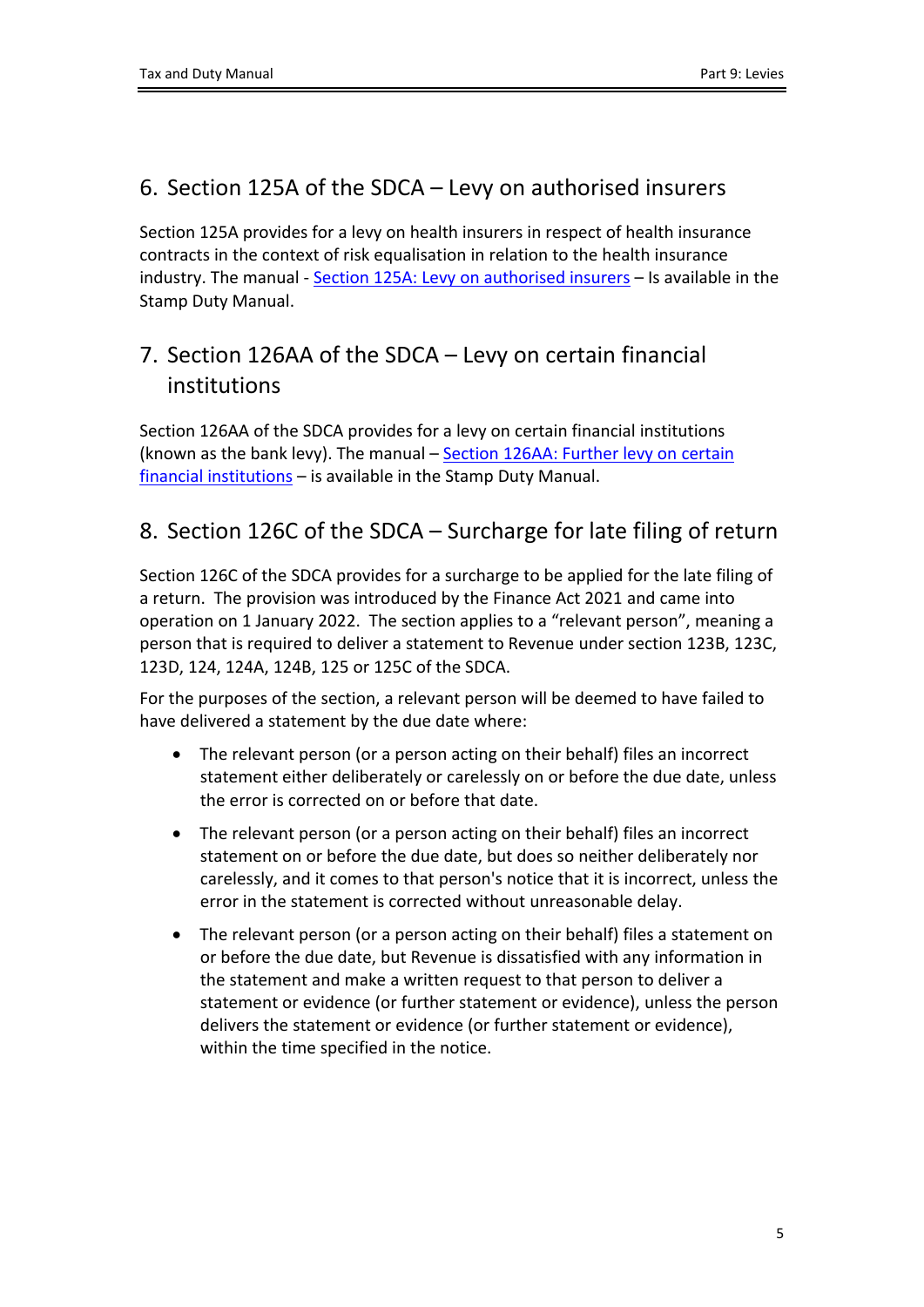### <span id="page-4-0"></span>6. Section 125A of the SDCA – Levy on authorised insurers

Section 125A provides for a levy on health insurers in respect of health insurance contracts in the context of risk equalisation in relation to the health insurance industry. The manual - [Section](https://www.revenue.ie/en/tax-professionals/tdm/stamp-duty/stamp-duty-manual/part-09-levies/section-125A-health-insurance-levy.pdf) [125A:](https://www.revenue.ie/en/tax-professionals/tdm/stamp-duty/stamp-duty-manual/part-09-levies/section-125A-health-insurance-levy.pdf) [Levy](https://www.revenue.ie/en/tax-professionals/tdm/stamp-duty/stamp-duty-manual/part-09-levies/section-125A-health-insurance-levy.pdf) [on](https://www.revenue.ie/en/tax-professionals/tdm/stamp-duty/stamp-duty-manual/part-09-levies/section-125A-health-insurance-levy.pdf) [authorised](https://www.revenue.ie/en/tax-professionals/tdm/stamp-duty/stamp-duty-manual/part-09-levies/section-125A-health-insurance-levy.pdf) [insurers](https://www.revenue.ie/en/tax-professionals/tdm/stamp-duty/stamp-duty-manual/part-09-levies/section-125A-health-insurance-levy.pdf) – Is available in the Stamp Duty Manual.

# <span id="page-4-1"></span>7. Section 126AA of the SDCA – Levy on certain financial institutions

Section 126AA of the SDCA provides for a levy on certain financial institutions (known as the bank levy). The manual – [Section](https://www.revenue.ie/en/tax-professionals/tdm/stamp-duty/stamp-duty-manual/part-09-levies/section-126AA-bank-levy.pdf) [126AA:](https://www.revenue.ie/en/tax-professionals/tdm/stamp-duty/stamp-duty-manual/part-09-levies/section-126AA-bank-levy.pdf) [Further](https://www.revenue.ie/en/tax-professionals/tdm/stamp-duty/stamp-duty-manual/part-09-levies/section-126AA-bank-levy.pdf) [levy](https://www.revenue.ie/en/tax-professionals/tdm/stamp-duty/stamp-duty-manual/part-09-levies/section-126AA-bank-levy.pdf) [on](https://www.revenue.ie/en/tax-professionals/tdm/stamp-duty/stamp-duty-manual/part-09-levies/section-126AA-bank-levy.pdf) [certain](https://www.revenue.ie/en/tax-professionals/tdm/stamp-duty/stamp-duty-manual/part-09-levies/section-126AA-bank-levy.pdf) [financial](https://www.revenue.ie/en/tax-professionals/tdm/stamp-duty/stamp-duty-manual/part-09-levies/section-126AA-bank-levy.pdf) [institutions](https://www.revenue.ie/en/tax-professionals/tdm/stamp-duty/stamp-duty-manual/part-09-levies/section-126AA-bank-levy.pdf) – is available in the Stamp Duty Manual.

### <span id="page-4-2"></span>8. Section 126C of the SDCA – Surcharge for late filing of return

Section 126C of the SDCA provides for a surcharge to be applied for the late filing of a return. The provision was introduced by the Finance Act 2021 and came into operation on 1 January 2022. The section applies to a "relevant person", meaning a person that is required to deliver a statement to Revenue under section 123B, 123C, 123D, 124, 124A, 124B, 125 or 125C of the SDCA.

For the purposes of the section, a relevant person will be deemed to have failed to have delivered a statement by the due date where:

- The relevant person (or a person acting on their behalf) files an incorrect statement either deliberately or carelessly on or before the due date, unless the error is corrected on or before that date.
- The relevant person (or a person acting on their behalf) files an incorrect statement on or before the due date, but does so neither deliberately nor carelessly, and it comes to that person's notice that it is incorrect, unless the error in the statement is corrected without unreasonable delay.
- The relevant person (or a person acting on their behalf) files a statement on or before the due date, but Revenue is dissatisfied with any information in the statement and make a written request to that person to deliver a statement or evidence (or further statement or evidence), unless the person delivers the statement or evidence (or further statement or evidence), within the time specified in the notice.